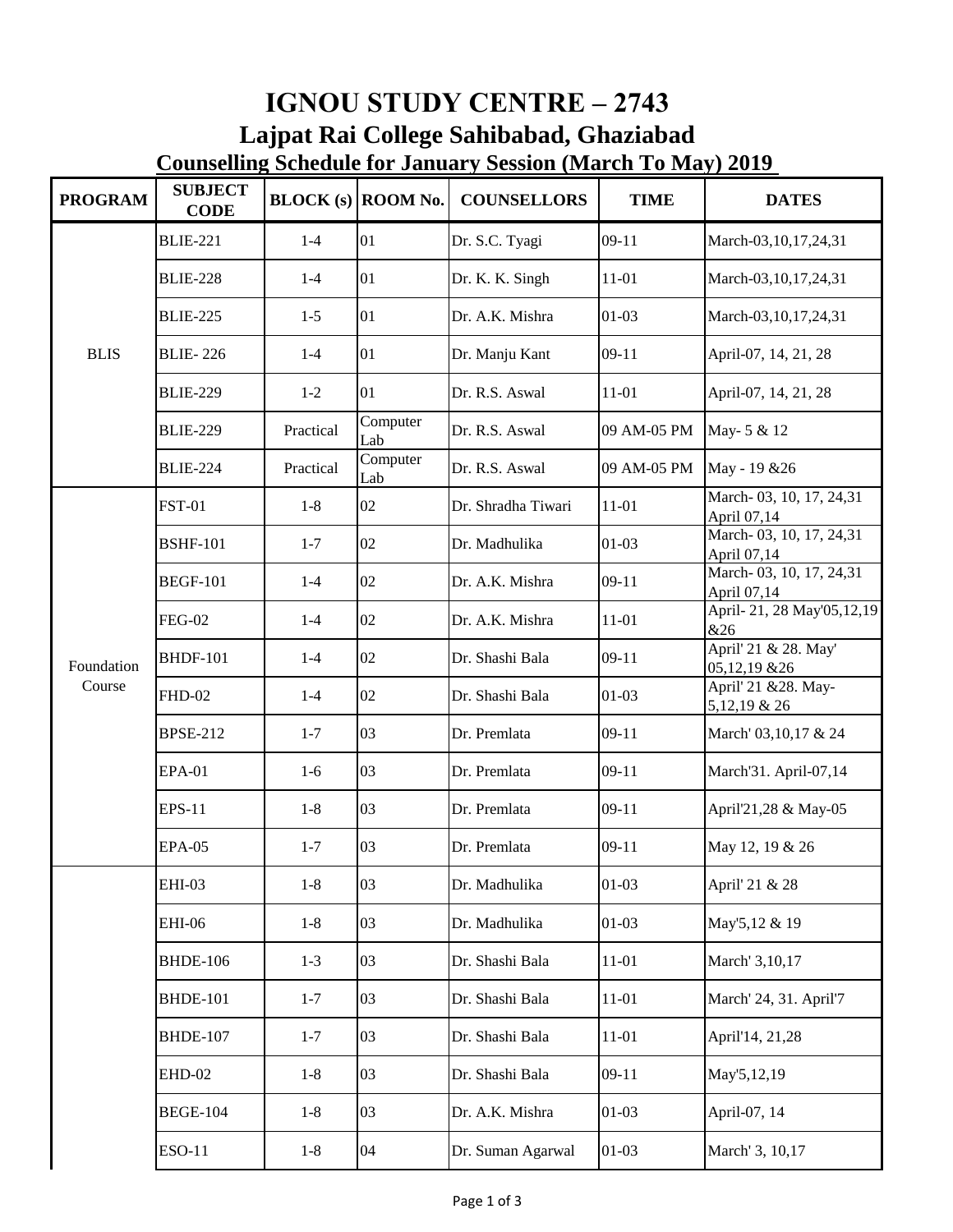## **IGNOU STUDY CENTRE – 2743 Lajpat Rai College Sahibabad, Ghaziabad Counselling Schedule for January Session (March To May) 2019**

| <b>PROGRAM</b>       | <b>SUBJECT</b><br><b>CODE</b> |           | $BLOCK$ (s) ROOM No. | <b>COUNSELLORS</b> | <b>TIME</b> | <b>DATES</b>                           |
|----------------------|-------------------------------|-----------|----------------------|--------------------|-------------|----------------------------------------|
| <b>BLIS</b>          | <b>BLIE-221</b>               | $1 - 4$   | 01                   | Dr. S.C. Tyagi     | $09-11$     | March-03,10,17,24,31                   |
|                      | <b>BLIE-228</b>               | $1 - 4$   | 01                   | Dr. K. K. Singh    | 11-01       | March-03, 10, 17, 24, 31               |
|                      | <b>BLIE-225</b>               | $1-5$     | 01                   | Dr. A.K. Mishra    | $01 - 03$   | March-03,10,17,24,31                   |
|                      | <b>BLIE-226</b>               | $1 - 4$   | 01                   | Dr. Manju Kant     | $09-11$     | April-07, 14, 21, 28                   |
|                      | <b>BLIE-229</b>               | $1 - 2$   | 01                   | Dr. R.S. Aswal     | $11 - 01$   | April-07, 14, 21, 28                   |
|                      | <b>BLIE-229</b>               | Practical | Computer<br>Lab      | Dr. R.S. Aswal     | 09 AM-05 PM | May- 5 & 12                            |
|                      | <b>BLIE-224</b>               | Practical | Computer<br>Lab      | Dr. R.S. Aswal     | 09 AM-05 PM | May - 19 & 26                          |
| Foundation<br>Course | <b>FST-01</b>                 | $1-8$     | 02                   | Dr. Shradha Tiwari | $11 - 01$   | March-03, 10, 17, 24,31<br>April 07,14 |
|                      | <b>BSHF-101</b>               | $1 - 7$   | 02                   | Dr. Madhulika      | $01-03$     | March-03, 10, 17, 24,31<br>April 07,14 |
|                      | <b>BEGF-101</b>               | $1-4$     | 02                   | Dr. A.K. Mishra    | $09-11$     | March-03, 10, 17, 24,31<br>April 07,14 |
|                      | <b>FEG-02</b>                 | $1-4$     | 02                   | Dr. A.K. Mishra    | $11 - 01$   | April-21, 28 May'05, 12, 19<br>&26     |
|                      | <b>BHDF-101</b>               | $1 - 4$   | 02                   | Dr. Shashi Bala    | $09-11$     | April' 21 & 28. May'<br>05,12,19 & 26  |
|                      | <b>FHD-02</b>                 | $1 - 4$   | 02                   | Dr. Shashi Bala    | $01 - 03$   | April' 21 &28. May-<br>5,12,19 & 26    |
|                      | <b>BPSE-212</b>               | $1 - 7$   | 03                   | Dr. Premlata       | $09-11$     | March' 03,10,17 & 24                   |
|                      | <b>EPA-01</b>                 | $1-6$     | 03                   | Dr. Premlata       | $09-11$     | March'31. April-07,14                  |
|                      | <b>EPS-11</b>                 | $1 - 8$   | 03                   | Dr. Premlata       | $09-11$     | April'21,28 & May-05                   |
|                      | <b>EPA-05</b>                 | $1 - 7$   | 03                   | Dr. Premlata       | $09-11$     | May 12, 19 & 26                        |
|                      | EHI-03                        | $1-8$     | 03                   | Dr. Madhulika      | $01 - 03$   | April' 21 & 28                         |
|                      | <b>EHI-06</b>                 | $1 - 8$   | 03                   | Dr. Madhulika      | $01 - 03$   | May'5,12 & 19                          |
|                      | <b>BHDE-106</b>               | $1 - 3$   | 03                   | Dr. Shashi Bala    | $11 - 01$   | March' 3,10,17                         |
|                      | <b>BHDE-101</b>               | $1 - 7$   | 03                   | Dr. Shashi Bala    | $11 - 01$   | March' 24, 31. April'7                 |
|                      | <b>BHDE-107</b>               | $1 - 7$   | 03                   | Dr. Shashi Bala    | $11 - 01$   | April'14, 21,28                        |
|                      | EHD-02                        | $1 - 8$   | 03                   | Dr. Shashi Bala    | $09-11$     | May'5,12,19                            |
|                      | <b>BEGE-104</b>               | $1 - 8$   | 03                   | Dr. A.K. Mishra    | $01 - 03$   | April-07, 14                           |
|                      | <b>ESO-11</b>                 | $1-8$     | 04                   | Dr. Suman Agarwal  | $01-03$     | March' 3, 10,17                        |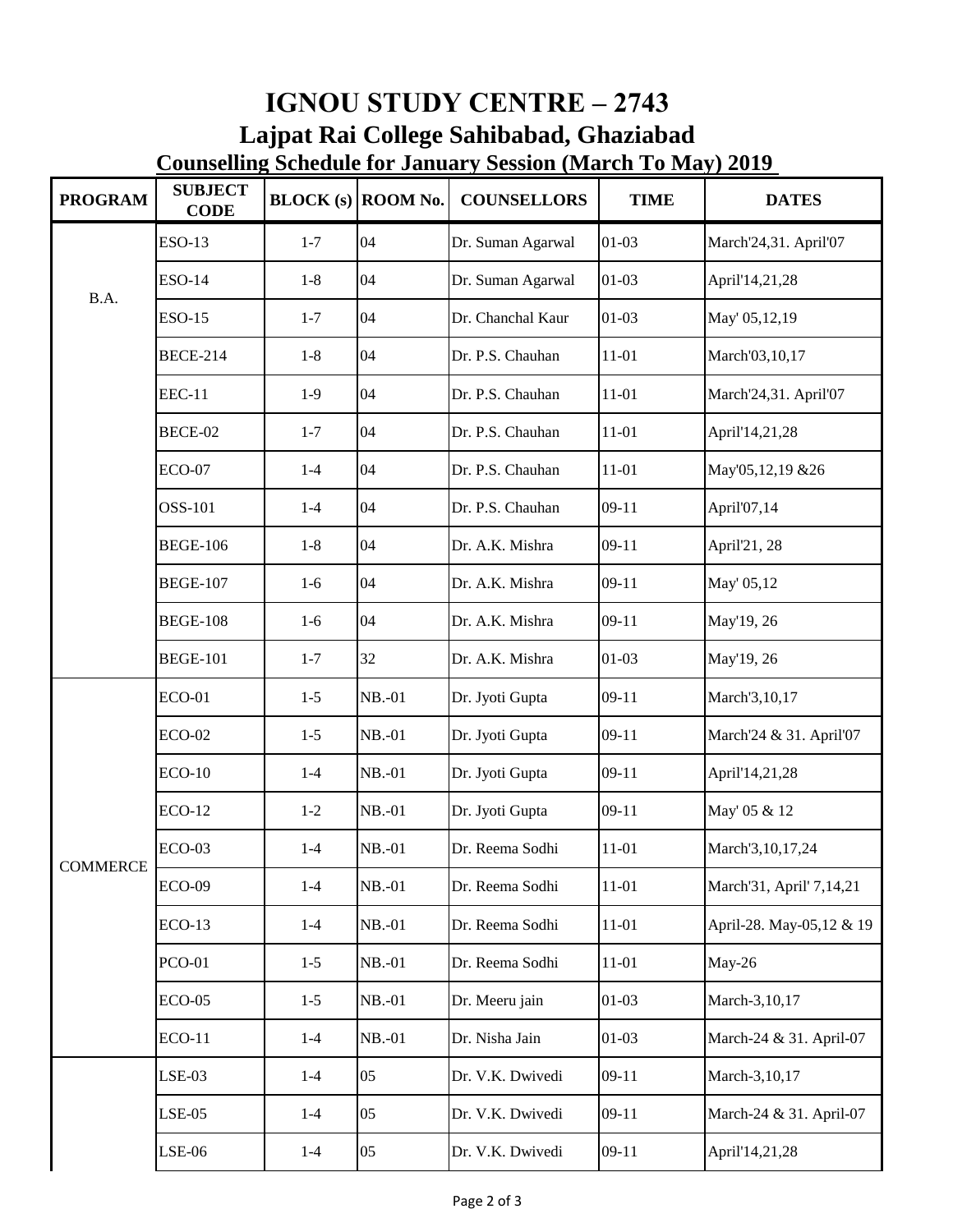| <b>PROGRAM</b>  | <b>SUBJECT</b><br><b>CODE</b> |         | $BLOCK(S)$ ROOM No. | <b>Counselling Schedule for January Session (March To May) 2019</b><br><b>COUNSELLORS</b> | <b>TIME</b> | <b>DATES</b>             |
|-----------------|-------------------------------|---------|---------------------|-------------------------------------------------------------------------------------------|-------------|--------------------------|
| B.A.            | <b>ESO-13</b>                 | $1 - 7$ | 04                  | Dr. Suman Agarwal                                                                         | $01 - 03$   | March'24,31. April'07    |
|                 | <b>ESO-14</b>                 | $1 - 8$ | 04                  | Dr. Suman Agarwal                                                                         | $01 - 03$   | April'14,21,28           |
|                 | <b>ESO-15</b>                 | $1 - 7$ | 04                  | Dr. Chanchal Kaur                                                                         | $01-03$     | May' 05,12,19            |
|                 | <b>BECE-214</b>               | $1-8$   | 04                  | Dr. P.S. Chauhan                                                                          | $11 - 01$   | March'03,10,17           |
|                 | <b>EEC-11</b>                 | $1-9$   | 04                  | Dr. P.S. Chauhan                                                                          | $11 - 01$   | March'24,31. April'07    |
|                 | BECE-02                       | $1 - 7$ | 04                  | Dr. P.S. Chauhan                                                                          | $11 - 01$   | April'14,21,28           |
|                 | $ECO-07$                      | $1 - 4$ | 04                  | Dr. P.S. Chauhan                                                                          | $11 - 01$   | May'05,12,19 &26         |
|                 | OSS-101                       | $1 - 4$ | 04                  | Dr. P.S. Chauhan                                                                          | $09-11$     | April'07,14              |
|                 | <b>BEGE-106</b>               | $1-8$   | 04                  | Dr. A.K. Mishra                                                                           | $09-11$     | April'21, 28             |
|                 | <b>BEGE-107</b>               | $1-6$   | 04                  | Dr. A.K. Mishra                                                                           | $09-11$     | May' 05,12               |
|                 | <b>BEGE-108</b>               | $1-6$   | 04                  | Dr. A.K. Mishra                                                                           | $09-11$     | May'19, 26               |
|                 | <b>BEGE-101</b>               | $1 - 7$ | 32                  | Dr. A.K. Mishra                                                                           | $01 - 03$   | May'19, 26               |
| <b>COMMERCE</b> | <b>ECO-01</b>                 | $1 - 5$ | $NB.-01$            | Dr. Jyoti Gupta                                                                           | $09-11$     | March'3,10,17            |
|                 | $ECO-02$                      | $1 - 5$ | $NB.-01$            | Dr. Jyoti Gupta                                                                           | $09-11$     | March'24 & 31. April'07  |
|                 | $ECO-10$                      | $1 - 4$ | $NB.-01$            | Dr. Jyoti Gupta                                                                           | $09-11$     | April'14,21,28           |
|                 | <b>ECO-12</b>                 | $1 - 2$ | NB.-01              | Dr. Jyoti Gupta                                                                           | $09-11$     | May' 05 & 12             |
|                 | $ECO-03$                      | $1-4$   | $NB.-01$            | Dr. Reema Sodhi                                                                           | $11 - 01$   | March'3, 10, 17, 24      |
|                 | <b>ECO-09</b>                 | $1-4$   | $NB.-01$            | Dr. Reema Sodhi                                                                           | $11 - 01$   | March'31, April' 7,14,21 |
|                 | $ECO-13$                      | $1 - 4$ | $NB.-01$            | Dr. Reema Sodhi                                                                           | $11 - 01$   | April-28. May-05,12 & 19 |
|                 | <b>PCO-01</b>                 | $1 - 5$ | $NB.-01$            | Dr. Reema Sodhi                                                                           | $11 - 01$   | May-26                   |
|                 | $ECO-05$                      | $1 - 5$ | $NB.-01$            | Dr. Meeru jain                                                                            | $01 - 03$   | March-3,10,17            |
|                 | <b>ECO-11</b>                 | $1 - 4$ | NB.-01              | Dr. Nisha Jain                                                                            | $01 - 03$   | March-24 & 31. April-07  |
|                 | $LSE-03$                      | $1 - 4$ | 05                  | Dr. V.K. Dwivedi                                                                          | $09-11$     | March-3,10,17            |
|                 | $LSE-05$                      | $1-4$   | 05                  | Dr. V.K. Dwivedi                                                                          | $09-11$     | March-24 & 31. April-07  |
|                 | $LSE-06$                      | $1-4$   | 05                  | Dr. V.K. Dwivedi                                                                          | $09-11$     | April'14,21,28           |

**IGNOU STUDY CENTRE – 2743**

**Lajpat Rai College Sahibabad, Ghaziabad**